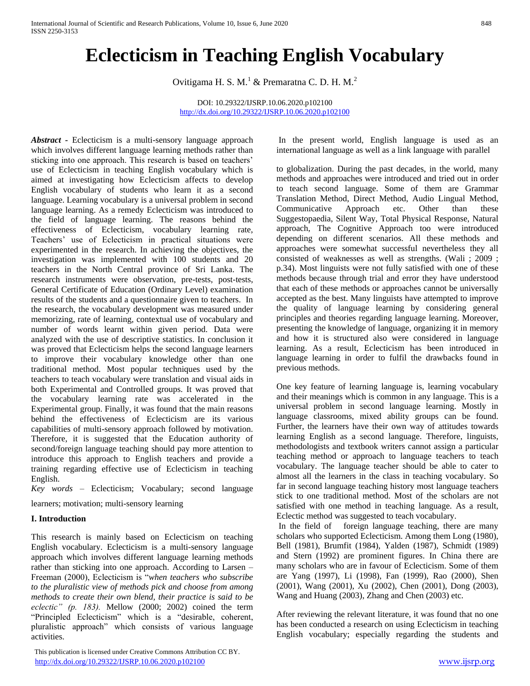# **Eclecticism in Teaching English Vocabulary**

Ovitigama H. S. M.<sup>1</sup> & Premaratna C. D. H. M.<sup>2</sup>

DOI: 10.29322/IJSRP.10.06.2020.p102100 <http://dx.doi.org/10.29322/IJSRP.10.06.2020.p102100>

*Abstract -* Eclecticism is a multi-sensory language approach which involves different language learning methods rather than sticking into one approach. This research is based on teachers' use of Eclecticism in teaching English vocabulary which is aimed at investigating how Eclecticism affects to develop English vocabulary of students who learn it as a second language. Learning vocabulary is a universal problem in second language learning. As a remedy Eclecticism was introduced to the field of language learning. The reasons behind the effectiveness of Eclecticism, vocabulary learning rate, Teachers' use of Eclecticism in practical situations were experimented in the research. In achieving the objectives, the investigation was implemented with 100 students and 20 teachers in the North Central province of Sri Lanka. The research instruments were observation, pre-tests, post-tests, General Certificate of Education (Ordinary Level) examination results of the students and a questionnaire given to teachers. In the research, the vocabulary development was measured under memorizing, rate of learning, contextual use of vocabulary and number of words learnt within given period. Data were analyzed with the use of descriptive statistics. In conclusion it was proved that Eclecticism helps the second language learners to improve their vocabulary knowledge other than one traditional method. Most popular techniques used by the teachers to teach vocabulary were translation and visual aids in both Experimental and Controlled groups. It was proved that the vocabulary learning rate was accelerated in the Experimental group. Finally, it was found that the main reasons behind the effectiveness of Eclecticism are its various capabilities of multi-sensory approach followed by motivation. Therefore, it is suggested that the Education authority of second/foreign language teaching should pay more attention to introduce this approach to English teachers and provide a training regarding effective use of Eclecticism in teaching English.

*Key words* – Eclecticism; Vocabulary; second language

learners; motivation; multi-sensory learning

# **I. Introduction**

This research is mainly based on Eclecticism on teaching English vocabulary. Eclecticism is a multi-sensory language approach which involves different language learning methods rather than sticking into one approach. According to Larsen – Freeman (2000), Eclecticism is "*when teachers who subscribe to the pluralistic view of methods pick and choose from among methods to create their own blend, their practice is said to be eclectic" (p. 183).* Mellow (2000; 2002) coined the term "Principled Eclecticism" which is a "desirable, coherent, pluralistic approach" which consists of various language activities.

 This publication is licensed under Creative Commons Attribution CC BY. <http://dx.doi.org/10.29322/IJSRP.10.06.2020.p102100> [www.ijsrp.org](http://ijsrp.org/)

In the present world, English language is used as an international language as well as a link language with parallel

to globalization. During the past decades, in the world, many methods and approaches were introduced and tried out in order to teach second language. Some of them are Grammar Translation Method, Direct Method, Audio Lingual Method, Communicative Approach etc. Other than these Suggestopaedia, Silent Way, Total Physical Response, Natural approach, The Cognitive Approach too were introduced depending on different scenarios. All these methods and approaches were somewhat successful nevertheless they all consisted of weaknesses as well as strengths. (Wali ; 2009 ; p.34). Most linguists were not fully satisfied with one of these methods because through trial and error they have understood that each of these methods or approaches cannot be universally accepted as the best. Many linguists have attempted to improve the quality of language learning by considering general principles and theories regarding language learning. Moreover, presenting the knowledge of language, organizing it in memory and how it is structured also were considered in language learning. As a result, Eclecticism has been introduced in language learning in order to fulfil the drawbacks found in previous methods.

One key feature of learning language is, learning vocabulary and their meanings which is common in any language. This is a universal problem in second language learning. Mostly in language classrooms, mixed ability groups can be found. Further, the learners have their own way of attitudes towards learning English as a second language. Therefore, linguists, methodologists and textbook writers cannot assign a particular teaching method or approach to language teachers to teach vocabulary. The language teacher should be able to cater to almost all the learners in the class in teaching vocabulary. So far in second language teaching history most language teachers stick to one traditional method. Most of the scholars are not satisfied with one method in teaching language. As a result, Eclectic method was suggested to teach vocabulary.

In the field of foreign language teaching, there are many scholars who supported Eclecticism. Among them Long (1980), Bell (1981), Brumfit (1984), Yalden (1987), Schmidt (1989) and Stern (1992) are prominent figures. In China there are many scholars who are in favour of Eclecticism. Some of them are Yang (1997), Li (1998), Fan (1999), Rao (2000), Shen (2001), Wang (2001), Xu (2002), Chen (2001), Dong (2003), Wang and Huang (2003), Zhang and Chen (2003) etc.

After reviewing the relevant literature, it was found that no one has been conducted a research on using Eclecticism in teaching English vocabulary; especially regarding the students and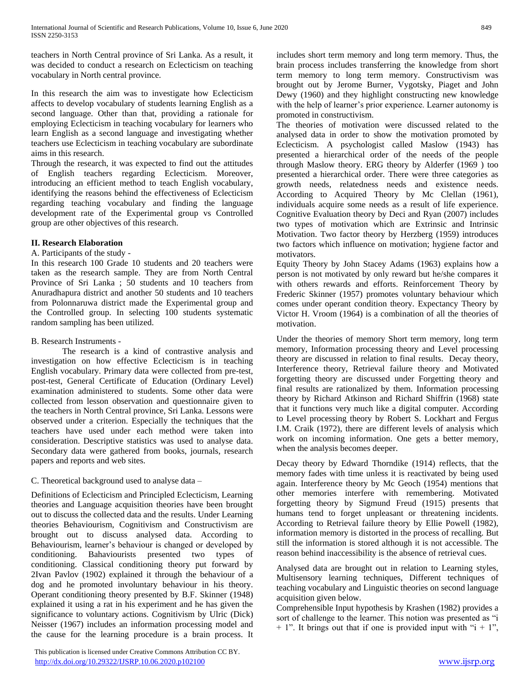teachers in North Central province of Sri Lanka. As a result, it was decided to conduct a research on Eclecticism on teaching vocabulary in North central province.

In this research the aim was to investigate how Eclecticism affects to develop vocabulary of students learning English as a second language. Other than that, providing a rationale for employing Eclecticism in teaching vocabulary for learners who learn English as a second language and investigating whether teachers use Eclecticism in teaching vocabulary are subordinate aims in this research.

Through the research, it was expected to find out the attitudes of English teachers regarding Eclecticism. Moreover, introducing an efficient method to teach English vocabulary, identifying the reasons behind the effectiveness of Eclecticism regarding teaching vocabulary and finding the language development rate of the Experimental group vs Controlled group are other objectives of this research.

# **II. Research Elaboration**

## A. Participants of the study -

In this research 100 Grade 10 students and 20 teachers were taken as the research sample. They are from North Central Province of Sri Lanka ; 50 students and 10 teachers from Anuradhapura district and another 50 students and 10 teachers from Polonnaruwa district made the Experimental group and the Controlled group. In selecting 100 students systematic random sampling has been utilized.

## B. Research Instruments -

The research is a kind of contrastive analysis and investigation on how effective Eclecticism is in teaching English vocabulary. Primary data were collected from pre-test, post-test, General Certificate of Education (Ordinary Level) examination administered to students. Some other data were collected from lesson observation and questionnaire given to the teachers in North Central province, Sri Lanka. Lessons were observed under a criterion. Especially the techniques that the teachers have used under each method were taken into consideration. Descriptive statistics was used to analyse data. Secondary data were gathered from books, journals, research papers and reports and web sites.

# C. Theoretical background used to analyse data –

Definitions of Eclecticism and Principled Eclecticism, Learning theories and Language acquisition theories have been brought out to discuss the collected data and the results. Under Learning theories Behaviourism, Cognitivism and Constructivism are brought out to discuss analysed data. According to Behaviourism, learner's behaviour is changed or developed by conditioning. Bahaviourists presented two types of conditioning. Classical conditioning theory put forward by 2Ivan Pavlov (1902) explained it through the behaviour of a dog and he promoted involuntary behaviour in his theory. Operant conditioning theory presented by B.F. Skinner (1948) explained it using a rat in his experiment and he has given the significance to voluntary actions. Cognitivism by Ulric (Dick) Neisser (1967) includes an information processing model and the cause for the learning procedure is a brain process. It

 This publication is licensed under Creative Commons Attribution CC BY. <http://dx.doi.org/10.29322/IJSRP.10.06.2020.p102100> [www.ijsrp.org](http://ijsrp.org/)

includes short term memory and long term memory. Thus, the brain process includes transferring the knowledge from short term memory to long term memory. Constructivism was brought out by Jerome Burner, Vygotsky, Piaget and John Dewy (1960) and they highlight constructing new knowledge with the help of learner's prior experience. Learner autonomy is promoted in constructivism.

The theories of motivation were discussed related to the analysed data in order to show the motivation promoted by Eclecticism. A psychologist called Maslow (1943) has presented a hierarchical order of the needs of the people through Maslow theory. ERG theory by Alderfer (1969 ) too presented a hierarchical order. There were three categories as growth needs, relatedness needs and existence needs. According to Acquired Theory by Mc Clellan (1961), individuals acquire some needs as a result of life experience. Cognitive Evaluation theory by Deci and Ryan (2007) includes two types of motivation which are Extrinsic and Intrinsic Motivation. Two factor theory by Herzberg (1959) introduces two factors which influence on motivation; hygiene factor and motivators.

Equity Theory by John Stacey Adams (1963) explains how a person is not motivated by only reward but he/she compares it with others rewards and efforts. Reinforcement Theory by Frederic Skinner (1957) promotes voluntary behaviour which comes under operant condition theory. Expectancy Theory by Victor H. Vroom (1964) is a combination of all the theories of motivation.

Under the theories of memory Short term memory, long term memory, Information processing theory and Level processing theory are discussed in relation to final results. Decay theory, Interference theory, Retrieval failure theory and Motivated forgetting theory are discussed under Forgetting theory and final results are rationalized by them. Information processing theory by Richard Atkinson and Richard Shiffrin (1968) state that it functions very much like a digital computer. According to Level processing theory by Robert S. Lockhart and Fergus I.M. Craik (1972), there are different levels of analysis which work on incoming information. One gets a better memory, when the analysis becomes deeper.

Decay theory by Edward Thorndike (1914) reflects, that the memory fades with time unless it is reactivated by being used again. Interference theory by Mc Geoch (1954) mentions that other memories interfere with remembering. Motivated forgetting theory by Sigmund Freud (1915) presents that humans tend to forget unpleasant or threatening incidents. According to Retrieval failure theory by Ellie Powell (1982), information memory is distorted in the process of recalling. But still the information is stored although it is not accessible. The reason behind inaccessibility is the absence of retrieval cues.

Analysed data are brought out in relation to Learning styles, Multisensory learning techniques, Different techniques of teaching vocabulary and Linguistic theories on second language acquisition given below.

Comprehensible Input hypothesis by Krashen (1982) provides a sort of challenge to the learner. This notion was presented as "i  $+ 1$ ". It brings out that if one is provided input with "i  $+ 1$ ",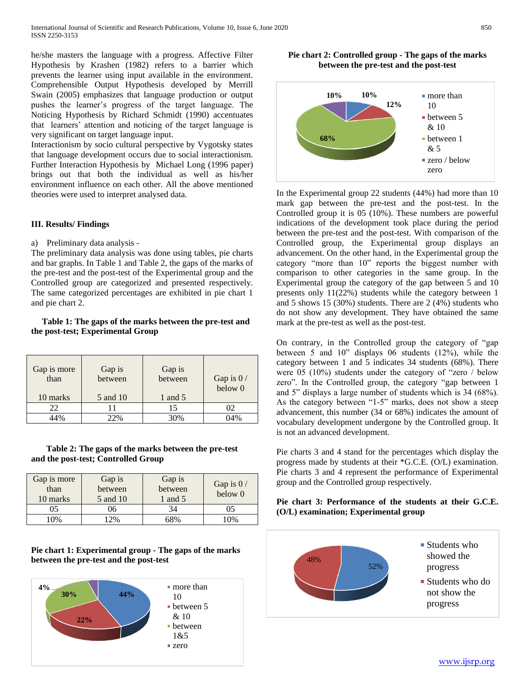he/she masters the language with a progress. Affective Filter Hypothesis by Krashen (1982) refers to a barrier which prevents the learner using input available in the environment. Comprehensible Output Hypothesis developed by [Merrill](http://en.wikipedia.org/wiki/Merrill_Swain)  [Swain](http://en.wikipedia.org/wiki/Merrill_Swain) (2005) emphasizes that language production or output pushes the learner's progress of the target language. The Noticing Hypothesis by [Richard Schmidt](http://en.wikipedia.org/wiki/Richard_Schmidt_(linguist)) (1990) accentuates that learners' attention and noticing of the target language is very significant on target language input.

Interactionism by socio cultural perspective by Vygotsky states that language development occurs due to social interactionism. Further Interaction Hypothesis by [Michael Long](http://en.wikipedia.org/wiki/Michael_Long_(academic)) (1996 paper) brings out that both the individual as well as his/her environment influence on each other. All the above mentioned theories were used to interpret analysed data.

#### **III. Results/ Findings**

#### a) Preliminary data analysis -

The preliminary data analysis was done using tables, pie charts and bar graphs. In Table 1 and Table 2, the gaps of the marks of the pre-test and the post-test of the Experimental group and the Controlled group are categorized and presented respectively. The same categorized percentages are exhibited in pie chart 1 and pie chart 2.

# **Table 1: The gaps of the marks between the pre-test and the post-test; Experimental Group**

| Gap is more<br>than | Gap is<br>between | Gap is<br>between | Gap is $0/$<br>below 0 |
|---------------------|-------------------|-------------------|------------------------|
| 10 marks            | 5 and 10          | 1 and 5           |                        |
| 22                  |                   | 15                | 02                     |
| A A 04              | 22%               | 30%               | 04%                    |

#### **Table 2: The gaps of the marks between the pre-test and the post-test; Controlled Group**

| Gap is more<br>than<br>10 marks | Gap is<br>between<br>5 and 10 | Gap is<br>between<br>1 and 5 | Gap is $0/$<br>below <sub>0</sub> |  |
|---------------------------------|-------------------------------|------------------------------|-----------------------------------|--|
| 05                              | 16                            | 34                           |                                   |  |
| 0%                              | 2%                            | 58%                          | 0%                                |  |

**Pie chart 1: Experimental group - The gaps of the marks between the pre-test and the post-test**







In the Experimental group 22 students (44%) had more than 10 mark gap between the pre-test and the post-test. In the Controlled group it is 05 (10%). These numbers are powerful indications of the development took place during the period between the pre-test and the post-test. With comparison of the Controlled group, the Experimental group displays an advancement. On the other hand, in the Experimental group the category "more than 10" reports the biggest number with comparison to other categories in the same group. In the Experimental group the category of the gap between 5 and 10 presents only 11(22%) students while the category between 1 and 5 shows 15 (30%) students. There are 2 (4%) students who do not show any development. They have obtained the same mark at the pre-test as well as the post-test.

On contrary, in the Controlled group the category of "gap between 5 and 10" displays 06 students (12%), while the category between 1 and 5 indicates 34 students (68%). There were 05 (10%) students under the category of "zero / below zero". In the Controlled group, the category "gap between 1 and 5" displays a large number of students which is 34 (68%). As the category between "1-5" marks, does not show a steep advancement, this number (34 or 68%) indicates the amount of vocabulary development undergone by the Controlled group. It is not an advanced development.

Pie charts 3 and 4 stand for the percentages which display the progress made by students at their \*G.C.E. (O/L) examination. Pie charts 3 and 4 represent the performance of Experimental group and the Controlled group respectively.

# **Pie chart 3: Performance of the students at their G.C.E. (O/L) examination; Experimental group**

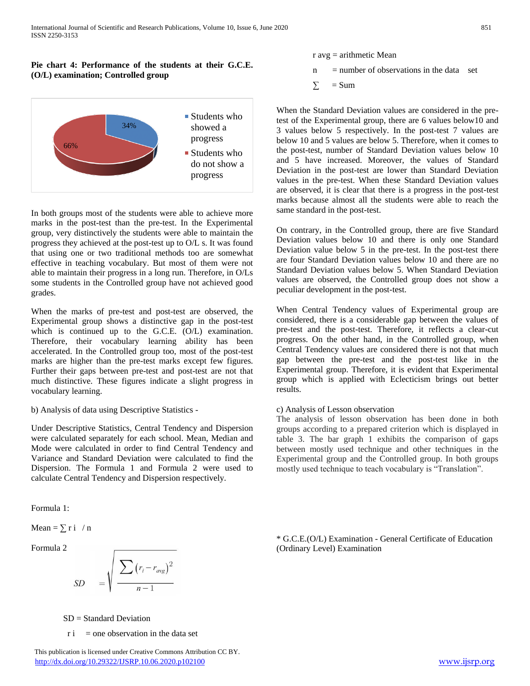# **Pie chart 4: Performance of the students at their G.C.E. (O/L) examination; Controlled group**



In both groups most of the students were able to achieve more marks in the post-test than the pre-test. In the Experimental group, very distinctively the students were able to maintain the progress they achieved at the post-test up to O/L s. It was found that using one or two traditional methods too are somewhat effective in teaching vocabulary. But most of them were not able to maintain their progress in a long run. Therefore, in O/Ls some students in the Controlled group have not achieved good grades.

When the marks of pre-test and post-test are observed, the Experimental group shows a distinctive gap in the post-test which is continued up to the G.C.E. (O/L) examination. Therefore, their vocabulary learning ability has been accelerated. In the Controlled group too, most of the post-test marks are higher than the pre-test marks except few figures. Further their gaps between pre-test and post-test are not that much distinctive. These figures indicate a slight progress in vocabulary learning.

b) Analysis of data using Descriptive Statistics -

Under Descriptive Statistics, Central Tendency and Dispersion were calculated separately for each school. Mean, Median and Mode were calculated in order to find Central Tendency and Variance and Standard Deviation were calculated to find the Dispersion. The Formula 1 and Formula 2 were used to calculate Central Tendency and Dispersion respectively.

Formula 1:

Mean =  $\sum$  r i / n

Formula 2

$$
SD = \sqrt{\frac{\sum (r_i - r_{avg})^2}{n - 1}}
$$

r avg = arithmetic Mean

- $n =$  number of observations in the data set
- $\Sigma$  = Sum

When the Standard Deviation values are considered in the pretest of the Experimental group, there are 6 values below10 and 3 values below 5 respectively. In the post-test 7 values are below 10 and 5 values are below 5. Therefore, when it comes to the post-test, number of Standard Deviation values below 10 and 5 have increased. Moreover, the values of Standard Deviation in the post-test are lower than Standard Deviation values in the pre-test. When these Standard Deviation values are observed, it is clear that there is a progress in the post-test marks because almost all the students were able to reach the same standard in the post-test.

On contrary, in the Controlled group, there are five Standard Deviation values below 10 and there is only one Standard Deviation value below 5 in the pre-test. In the post-test there are four Standard Deviation values below 10 and there are no Standard Deviation values below 5. When Standard Deviation values are observed, the Controlled group does not show a peculiar development in the post-test.

When Central Tendency values of Experimental group are considered, there is a considerable gap between the values of pre-test and the post-test. Therefore, it reflects a clear-cut progress. On the other hand, in the Controlled group, when Central Tendency values are considered there is not that much gap between the pre-test and the post-test like in the Experimental group. Therefore, it is evident that Experimental group which is applied with Eclecticism brings out better results.

# c) Analysis of Lesson observation

The analysis of lesson observation has been done in both groups according to a prepared criterion which is displayed in table 3. The bar graph 1 exhibits the comparison of gaps between mostly used technique and other techniques in the Experimental group and the Controlled group. In both groups mostly used technique to teach vocabulary is "Translation".

\* G.C.E.(O/L) Examination - General Certificate of Education (Ordinary Level) Examination

 $SD = Standard Deviation$ 

 $\vec{r}$  = one observation in the data set

 This publication is licensed under Creative Commons Attribution CC BY. <http://dx.doi.org/10.29322/IJSRP.10.06.2020.p102100> [www.ijsrp.org](http://ijsrp.org/)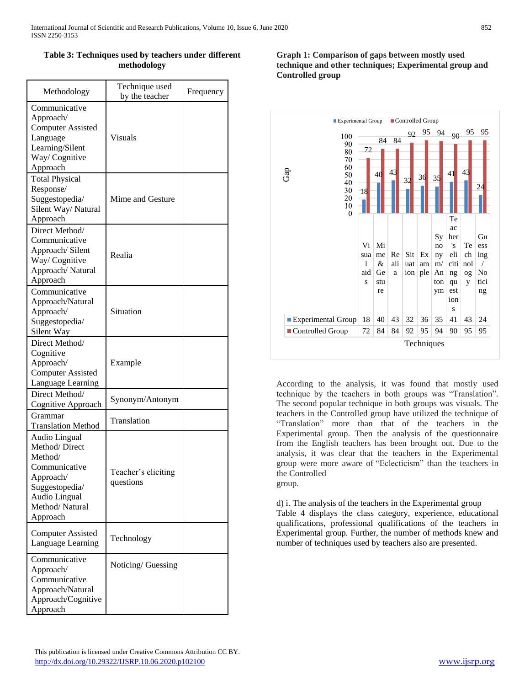# **Table 3: Techniques used by teachers under different methodology**

| Methodology                                                                                                                                     | Technique used<br>by the teacher | Frequency |
|-------------------------------------------------------------------------------------------------------------------------------------------------|----------------------------------|-----------|
| Communicative<br>Approach/<br><b>Computer Assisted</b><br>Language<br>Learning/Silent<br>Way/Cognitive<br>Approach                              | <b>Visuals</b>                   |           |
| <b>Total Physical</b><br>Response/<br>Suggestopedia/<br>Silent Way/Natural<br>Approach                                                          | Mime and Gesture                 |           |
| Direct Method/<br>Communicative<br>Approach/Silent<br>Way/Cognitive<br>Approach/Natural<br>Approach                                             | Realia                           |           |
| Communicative<br>Approach/Natural<br>Approach/<br>Suggestopedia/<br>Silent Way                                                                  | Situation                        |           |
| Direct Method/<br>Cognitive<br>Approach/<br><b>Computer Assisted</b><br>Language Learning                                                       | Example                          |           |
| Direct Method/<br>Cognitive Approach                                                                                                            | Synonym/Antonym                  |           |
| Grammar<br><b>Translation Method</b>                                                                                                            | Translation                      |           |
| Audio Lingual<br>Method/Direct<br>Method/<br>Communicative<br>Approach/<br>Suggestopedia/<br><b>Audio Lingual</b><br>Method/Natural<br>Approach | Teacher's eliciting<br>questions |           |
| <b>Computer Assisted</b><br>Language Learning                                                                                                   | Technology                       |           |
| Communicative<br>Approach/<br>Communicative<br>Approach/Natural<br>Approach/Cognitive<br>Approach                                               | Noticing/Guessing                |           |

## **Graph 1: Comparison of gaps between mostly used technique and other techniques; Experimental group and Controlled group**



According to the analysis, it was found that mostly used technique by the teachers in both groups was "Translation". The second popular technique in both groups was visuals. The teachers in the Controlled group have utilized the technique of "Translation" more than that of the teachers in the Experimental group. Then the analysis of the questionnaire from the English teachers has been brought out. Due to the analysis, it was clear that the teachers in the Experimental group were more aware of "Eclecticism" than the teachers in the Controlled

group.

d) i. The analysis of the teachers in the Experimental group Table 4 displays the class category, experience, educational qualifications, professional qualifications of the teachers in Experimental group. Further, the number of methods knew and number of techniques used by teachers also are presented.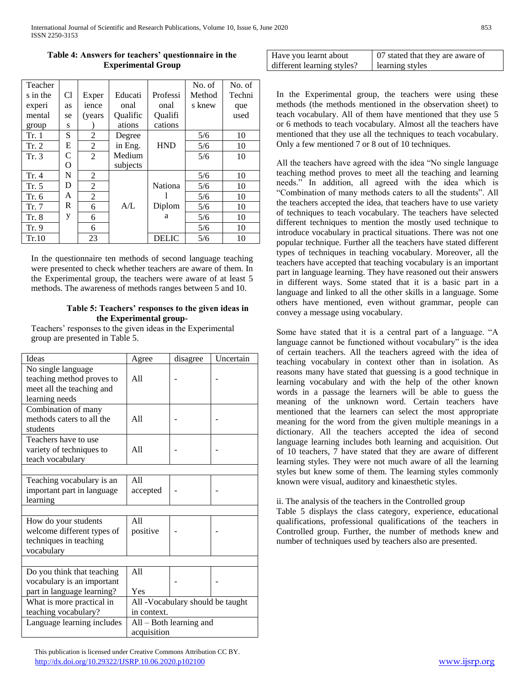| Teacher  |                |                |          |                | No. of | No. of |
|----------|----------------|----------------|----------|----------------|--------|--------|
| s in the | C <sub>1</sub> | Exper          | Educati  | Professi       | Method | Techni |
| experi   | as             | ience          | onal     | onal           | s knew | que    |
| mental   | se             | (years)        | Qualific | Oualifi        |        | used   |
| group    | S              |                | ations   | cations        |        |        |
| Tr. 1    | S              | 2              | Degree   |                | 5/6    | 10     |
| Tr. 2    | E              | 2              | in Eng.  | <b>HND</b>     | 5/6    | 10     |
| Tr. 3    | C              | $\overline{2}$ | Medium   |                | 5/6    | 10     |
|          | O              |                | subjects |                |        |        |
| Tr.4     | N              | 2              |          |                | 5/6    | 10     |
| Tr. 5    | D              | 2              |          | <b>Nationa</b> | 5/6    | 10     |
| Tr. 6    | A              | $\overline{2}$ |          |                | 5/6    | 10     |
| Tr. 7    | R              | 6              | A/L      | Diplom         | 5/6    | 10     |
| Tr. 8    | y              | 6              |          | a              | 5/6    | 10     |
| Tr. 9    |                | 6              |          |                | 5/6    | 10     |
| Tr.10    |                | 23             |          | <b>DELIC</b>   | 5/6    | 10     |

# **Table 4: Answers for teachers' questionnaire in the Experimental Group**

In the questionnaire ten methods of second language teaching were presented to check whether teachers are aware of them. In the Experimental group, the teachers were aware of at least 5 methods. The awareness of methods ranges between 5 and 10.

#### **Table 5: Teachers' responses to the given ideas in the Experimental group-**

Teachers' responses to the given ideas in the Experimental group are presented in Table 5.

| Ideas                                                                                          | Agree                                    | disagree | Uncertain |
|------------------------------------------------------------------------------------------------|------------------------------------------|----------|-----------|
| No single language<br>teaching method proves to<br>meet all the teaching and<br>learning needs | A11                                      |          |           |
| Combination of many<br>methods caters to all the<br>students                                   | A11                                      |          |           |
| Teachers have to use<br>variety of techniques to<br>teach vocabulary                           | A11                                      |          |           |
|                                                                                                |                                          |          |           |
| Teaching vocabulary is an<br>important part in language<br>learning                            | A11<br>accepted                          |          |           |
|                                                                                                |                                          |          |           |
| How do your students<br>welcome different types of<br>techniques in teaching<br>vocabulary     | A11<br>positive                          |          |           |
|                                                                                                |                                          |          |           |
| Do you think that teaching<br>vocabulary is an important<br>part in language learning?         | A11<br>Yes                               |          |           |
| What is more practical in                                                                      | All -Vocabulary should be taught         |          |           |
| teaching vocabulary?                                                                           | in context.                              |          |           |
| Language learning includes                                                                     | $All - Both learning$ and<br>acquisition |          |           |

| Have you learnt about      | 07 stated that they are aware of |  |  |  |
|----------------------------|----------------------------------|--|--|--|
| different learning styles? | learning styles                  |  |  |  |

In the Experimental group, the teachers were using these methods (the methods mentioned in the observation sheet) to teach vocabulary. All of them have mentioned that they use 5 or 6 methods to teach vocabulary. Almost all the teachers have mentioned that they use all the techniques to teach vocabulary. Only a few mentioned 7 or 8 out of 10 techniques.

All the teachers have agreed with the idea "No single language teaching method proves to meet all the teaching and learning needs." In addition, all agreed with the idea which is "Combination of many methods caters to all the students". All the teachers accepted the idea, that teachers have to use variety of techniques to teach vocabulary. The teachers have selected different techniques to mention the mostly used technique to introduce vocabulary in practical situations. There was not one popular technique. Further all the teachers have stated different types of techniques in teaching vocabulary. Moreover, all the teachers have accepted that teaching vocabulary is an important part in language learning. They have reasoned out their answers in different ways. Some stated that it is a basic part in a language and linked to all the other skills in a language. Some others have mentioned, even without grammar, people can convey a message using vocabulary.

Some have stated that it is a central part of a language. "A language cannot be functioned without vocabulary" is the idea of certain teachers. All the teachers agreed with the idea of teaching vocabulary in context other than in isolation. As reasons many have stated that guessing is a good technique in learning vocabulary and with the help of the other known words in a passage the learners will be able to guess the meaning of the unknown word. Certain teachers have mentioned that the learners can select the most appropriate meaning for the word from the given multiple meanings in a dictionary. All the teachers accepted the idea of second language learning includes both learning and acquisition. Out of 10 teachers, 7 have stated that they are aware of different learning styles. They were not much aware of all the learning styles but knew some of them. The learning styles commonly known were visual, auditory and kinaesthetic styles.

#### ii. The analysis of the teachers in the Controlled group

Table 5 displays the class category, experience, educational qualifications, professional qualifications of the teachers in Controlled group. Further, the number of methods knew and number of techniques used by teachers also are presented.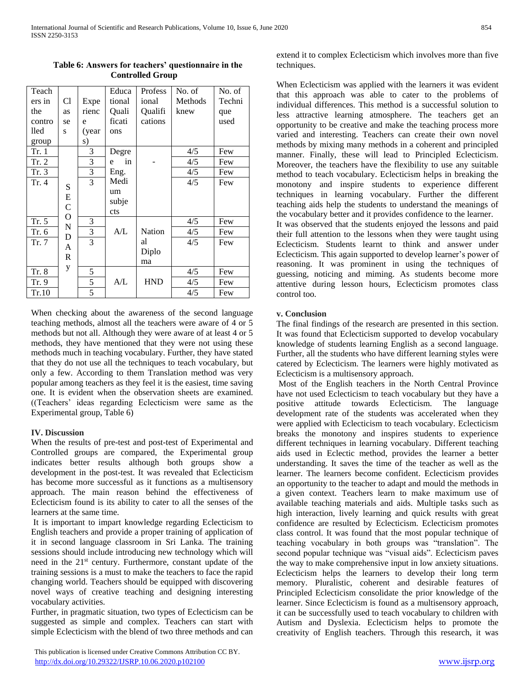| Teach  |              |       | Educa   | Profess       | No. of  | No. of |
|--------|--------------|-------|---------|---------------|---------|--------|
| ers in | Cl           | Expe  | tional  | ional         | Methods | Techni |
| the    | as           | rienc | Quali   | Qualifi       | knew    | que    |
| contro | se           | e     | ficati  | cations       |         | used   |
| lled   | S            | (year | ons     |               |         |        |
| group  |              | s)    |         |               |         |        |
| Tr. 1  |              | 3     | Degre   |               | 4/5     | Few    |
| Tr. 2  |              | 3     | in<br>e |               | 4/5     | Few    |
| Tr. 3  |              | 3     | Eng.    |               | 4/5     | Few    |
| Tr. 4  | S            | 3     | Medi    |               | 4/5     | Few    |
|        | E            |       | um      |               |         |        |
|        | $\mathsf{C}$ |       | subje   |               |         |        |
|        | O            |       | cts     |               |         |        |
| Tr. 5  | $\mathbf N$  | 3     |         |               | 4/5     | Few    |
| Tr. 6  | D            | 3     | A/L     | <b>Nation</b> | 4/5     | Few    |
| Tr. 7  | A            | 3     |         | al            | 4/5     | Few    |
|        | R            |       |         | Diplo         |         |        |
|        |              |       |         | ma            |         |        |
| Tr. 8  | у            | 5     |         |               | 4/5     | Few    |
| Tr. 9  |              | 5     | A/L     | <b>HND</b>    | 4/5     | Few    |
| Tr.10  |              | 5     |         |               | 4/5     | Few    |

**Table 6: Answers for teachers' questionnaire in the Controlled Group**

When checking about the awareness of the second language teaching methods, almost all the teachers were aware of 4 or 5 methods but not all. Although they were aware of at least 4 or 5 methods, they have mentioned that they were not using these methods much in teaching vocabulary. Further, they have stated that they do not use all the techniques to teach vocabulary, but only a few. According to them Translation method was very popular among teachers as they feel it is the easiest, time saving one. It is evident when the observation sheets are examined. ((Teachers' ideas regarding Eclecticism were same as the Experimental group, Table 6)

#### **IV. Discussion**

When the results of pre-test and post-test of Experimental and Controlled groups are compared, the Experimental group indicates better results although both groups show a development in the post-test. It was revealed that Eclecticism has become more successful as it functions as a multisensory approach. The main reason behind the effectiveness of Eclecticism found is its ability to cater to all the senses of the learners at the same time.

It is important to impart knowledge regarding Eclecticism to English teachers and provide a proper training of application of it in second language classroom in Sri Lanka. The training sessions should include introducing new technology which will need in the 21st century. Furthermore, constant update of the training sessions is a must to make the teachers to face the rapid changing world. Teachers should be equipped with discovering novel ways of creative teaching and designing interesting vocabulary activities.

Further, in pragmatic situation, two types of Eclecticism can be suggested as simple and complex. Teachers can start with simple Eclecticism with the blend of two three methods and can

 This publication is licensed under Creative Commons Attribution CC BY. <http://dx.doi.org/10.29322/IJSRP.10.06.2020.p102100> [www.ijsrp.org](http://ijsrp.org/)

extend it to complex Eclecticism which involves more than five techniques.

When Eclecticism was applied with the learners it was evident that this approach was able to cater to the problems of individual differences. This method is a successful solution to less attractive learning atmosphere. The teachers get an opportunity to be creative and make the teaching process more varied and interesting. Teachers can create their own novel methods by mixing many methods in a coherent and principled manner. Finally, these will lead to Principled Eclecticism. Moreover, the teachers have the flexibility to use any suitable method to teach vocabulary. Eclecticism helps in breaking the monotony and inspire students to experience different techniques in learning vocabulary. Further the different teaching aids help the students to understand the meanings of the vocabulary better and it provides confidence to the learner. It was observed that the students enjoyed the lessons and paid

their full attention to the lessons when they were taught using Eclecticism. Students learnt to think and answer under Eclecticism. This again supported to develop learner's power of reasoning. It was prominent in using the techniques of guessing, noticing and miming. As students become more attentive during lesson hours, Eclecticism promotes class control too.

# **v. Conclusion**

The final findings of the research are presented in this section. It was found that Eclecticism supported to develop vocabulary knowledge of students learning English as a second language. Further, all the students who have different learning styles were catered by Eclecticism. The learners were highly motivated as Eclecticism is a multisensory approach.

Most of the English teachers in the North Central Province have not used Eclecticism to teach vocabulary but they have a positive attitude towards Eclecticism. The language development rate of the students was accelerated when they were applied with Eclecticism to teach vocabulary. Eclecticism breaks the monotony and inspires students to experience different techniques in learning vocabulary. Different teaching aids used in Eclectic method, provides the learner a better understanding. It saves the time of the teacher as well as the learner. The learners become confident. Eclecticism provides an opportunity to the teacher to adapt and mould the methods in a given context. Teachers learn to make maximum use of available teaching materials and aids. Multiple tasks such as high interaction, lively learning and quick results with great confidence are resulted by Eclecticism. Eclecticism promotes class control. It was found that the most popular technique of teaching vocabulary in both groups was "translation". The second popular technique was "visual aids". Eclecticism paves the way to make comprehensive input in low anxiety situations. Eclecticism helps the learners to develop their long term memory. Pluralistic, coherent and desirable features of Principled Eclecticism consolidate the prior knowledge of the learner. Since Eclecticism is found as a multisensory approach, it can be successfully used to teach vocabulary to children with Autism and Dyslexia. Eclecticism helps to promote the creativity of English teachers. Through this research, it was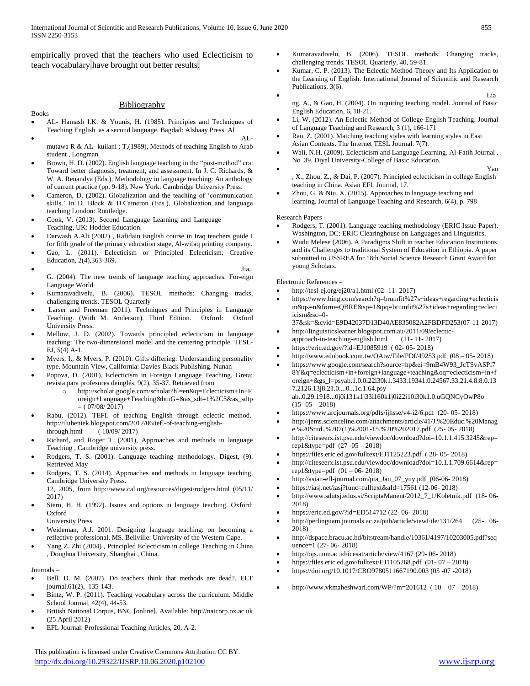empirically proved that the teachers who used Eclecticism to teach vocabulary have brought out better results.

#### **Bibliography**

#### Books –

- AL- Hamash I.K. & Younis, H. (1985). Principles and Techniques of Teaching English as a second language. Bagdad: Alshaay Press. Al
- $\bullet$  ALmutawa R & AL- kuilani : T,(1989), Methods of teaching English to Arab student , Longman
- Brown, H. D. (2002). English language teaching in the "post-method" era: Toward better diagnosis, treatment, and assessment. In J. C. Richards, & W. A. Renandya (Eds.), Methodology in language teaching: An anthology of current practice (pp. 9-18). New York: Cambridge University Press.
- Cameron, D. (2002). Globalization and the teaching of 'communication skills.' In D. Block & D.Cameron (Eds.), Globalization and language teaching London: Routledge.
- Cook, V. (2013). Second Language Learning and Language Teaching, UK: Hodder Education.
- Darwash A.Ali (2002) , Rafidain English course in Iraq teachers guide I for fifth grade of the primary education stage, Al-wifaq printing company.
- Gao, L. (2011). Eclecticism or Principled Eclecticism. Creative Education, 2(4),363-369.
- $Jia,$ G. (2004). The new trends of language teaching approaches. For-eign Language World
- Kumaravadivelu, B. (2006). TESOL methods: Changing tracks, challenging trends. TESOL Quarterly
- Larser and Freeman (2011). Techniques and Principles in Language Teaching. (With M. Anderson). Third Edition. Oxford: Oxford University Press.
- Mellow, J. D. (2002). Towards principled eclecticism in language teaching: The two-dimensional model and the centering principle. TESL-EJ, 5(4) A-1.
- Myers, I., & Myers, P. (2010). Gifts differing: Understanding personality type. Mountain View, California: Davies-Black Publishing. Nunan
- Popova, D. (2001). Eclecticism in Foreign Language Teaching. Greta: revista para profesores deinglés, 9(2), 35-37. Retrieved from
	- o [http://scholar.google.com/scholar?hl=en&q=Eclecticism+In+F](http://scholar.google.com/scholar?hl=en&q=Eclecticism+In+Foreign+Language+Teaching&btnG=&as_sdt=1%2C5&as_sdtp) [oreign+Language+Teaching&btnG=&as\\_sdt=1%2C5&as\\_sdtp](http://scholar.google.com/scholar?hl=en&q=Eclecticism+In+Foreign+Language+Teaching&btnG=&as_sdt=1%2C5&as_sdtp)  $= (07/08/2017)$
- Rabu, (2012). TEFL of teaching English through eclectic method. http://iluheniek.blogspot.com/2012/06/tefl-of-teaching-englishthrough.html ( 10/09/ 2017)
- Richard, and Roger T. (2001), Approaches and methods in language Teaching , Cambridge university press.
- Rodgers, T. S. (2001). Language teaching methodology. Digest, (9). Retrieved May
- Rodgers, T. S. (2014). Approaches and methods in language teaching. Cambridge University Press.
	- 12, 2005, from http://www.cal.org/resources/digest/rodgers.html (05/11/ 2017)
- Stern, H. H. (1992). Issues and options in language teaching. Oxford: Oxford
	- University Press.
- Weideman, A.J. 2001. Designing language teaching: on becoming a reflective professional. MS. Bellville: University of the Western Cape.
- Yang Z. Zhi (2004) , Principled Eclecticism in college Teaching in China , Doughua University, Shanghai , China.

#### Journals –

- Bell, D. M. (2007). Do teachers think that methods are dead?. ELT journal,61(2), 135-143.
- Bintz, W. P. (2011). Teaching vocabulary across the curriculum. Middle School Journal, 42(4), 44-53.
- British National Corpus, BNC [online]. Available: http://natcorp.ox.ac.uk (25 April 2012)
- EFL Journal: Professional Teaching Articles, 20, A-2.
- Kumaravadivelu, B. (2006). TESOL methods: Changing tracks, challenging trends. TESOL Quarterly, 40, 59-81.
- Kumar, C. P. (2013). The Eclectic Method-Theory and Its Application to the Learning of English. International Journal of Scientific and Research Publications, 3(6).
- **•** Lia ng, A., & Gao, H. (2004). On inquiring teaching model. Journal of Basic English Education, 6, 18-21.
- Li, W. (2012). An Eclectic Method of College English Teaching. Journal of Language Teaching and Research, 3 (1), 166-171
- Rao, Z. (2001). Matching teaching styles with learning styles in East Asian Contexts. The Internet TESL Journal. 7(7).
- Wali, N.H. (2009). Eclecticism and Language Learning. Al-Fatih Journal . No .39. Diyal University-College of Basic Education.
- $\bullet$  Yan *,* X*.*, Zhou, Z*.*, *&* Dai, P. (2007)*.* Principled eclecticism in college English teaching in China. Asian EFL Journal, 17.
- Zhou, G. & Niu, X. (2015). Approaches to language teaching and learning. Journal of Language Teaching and Research, 6(4), p. 798

#### Research Papers –

- Rodgers, T. (2001). Language teaching methodology (ERIC Issue Paper). Washington, DC: ERIC Clearinghouse on Languages and Linguistics.
- Wudu Melese (2006). A Paradigms Shift in teacher Education Institutions and its Challenges to traditional System of Education in Ethiopia. A paper submitted to USSREA for 18th Social Science Research Grant Award for young Scholars.

#### Electronic References –

- <http://tesl-ej.org/ej20/a1.html> (02- 11- 2017)
- [https://www.bing.com/search?q=brumfit%27s+ideas+regarding+eclecticis](https://www.bing.com/search?q=brumfit%27s+ideas+regarding+eclecticism&qs=n&form=QBRE&sp=1&pq=brumfit%27s+ideas+regarding+eclecticism&sc=0-37&sk=&cvid=E9D42037D13D40AE835082A2FBDFD253(07-11-2017)) [m&qs=n&form=QBRE&sp=1&pq=brumfit%27s+ideas+regarding+eclect](https://www.bing.com/search?q=brumfit%27s+ideas+regarding+eclecticism&qs=n&form=QBRE&sp=1&pq=brumfit%27s+ideas+regarding+eclecticism&sc=0-37&sk=&cvid=E9D42037D13D40AE835082A2FBDFD253(07-11-2017)) [icism&sc=0-](https://www.bing.com/search?q=brumfit%27s+ideas+regarding+eclecticism&qs=n&form=QBRE&sp=1&pq=brumfit%27s+ideas+regarding+eclecticism&sc=0-37&sk=&cvid=E9D42037D13D40AE835082A2FBDFD253(07-11-2017))
	- [37&sk=&cvid=E9D42037D13D40AE835082A2FBDFD253\(07-11-2017\)](https://www.bing.com/search?q=brumfit%27s+ideas+regarding+eclecticism&qs=n&form=QBRE&sp=1&pq=brumfit%27s+ideas+regarding+eclecticism&sc=0-37&sk=&cvid=E9D42037D13D40AE835082A2FBDFD253(07-11-2017))
- [http://linguisticslearner.blogspot.com.au/2011/09/eclectic](http://linguisticslearner.blogspot.com.au/2011/09/eclectic-approach-in-teaching-english.html)[approach-in-teaching-english.html](http://linguisticslearner.blogspot.com.au/2011/09/eclectic-approach-in-teaching-english.html) (11- 11- 2017)
- <https://eric.ed.gov/?id=EJ1085919>( 02- 05- 2018)
- <http://www.edubook.com.tw/OAtw/File/PDf/49253.pdf>(08 05- 2018)
- [https://www.google.com/search?source=hp&ei=9mB4W93\\_JcTSvASPl7](https://www.google.com/search?source=hp&ei=9mB4W93_JcTSvASPl78Y&q=eclecticism+in+foreign+language+teaching&oq=eclecticism+in+foreign+&gs_l=psyab.1.0.0i22i30k1.3433.19341.0.24567.33.21.4.8.8.0.137.2126.13j8.21.0....0...1c.1.64.psy-ab..0.29.1918...0j0i131k1j33i160k1j0i22i10i30k1.0.uGQNCyOwP8) [8Y&q=eclecticism+in+foreign+language+teaching&oq=eclecticism+in+f](https://www.google.com/search?source=hp&ei=9mB4W93_JcTSvASPl78Y&q=eclecticism+in+foreign+language+teaching&oq=eclecticism+in+foreign+&gs_l=psyab.1.0.0i22i30k1.3433.19341.0.24567.33.21.4.8.8.0.137.2126.13j8.21.0....0...1c.1.64.psy-ab..0.29.1918...0j0i131k1j33i160k1j0i22i10i30k1.0.uGQNCyOwP8) [oreign+&gs\\_l=psyab.1.0.0i22i30k1.3433.19341.0.24567.33.21.4.8.8.0.13](https://www.google.com/search?source=hp&ei=9mB4W93_JcTSvASPl78Y&q=eclecticism+in+foreign+language+teaching&oq=eclecticism+in+foreign+&gs_l=psyab.1.0.0i22i30k1.3433.19341.0.24567.33.21.4.8.8.0.137.2126.13j8.21.0....0...1c.1.64.psy-ab..0.29.1918...0j0i131k1j33i160k1j0i22i10i30k1.0.uGQNCyOwP8) [7.2126.13j8.21.0....0...1c.1.64.psy](https://www.google.com/search?source=hp&ei=9mB4W93_JcTSvASPl78Y&q=eclecticism+in+foreign+language+teaching&oq=eclecticism+in+foreign+&gs_l=psyab.1.0.0i22i30k1.3433.19341.0.24567.33.21.4.8.8.0.137.2126.13j8.21.0....0...1c.1.64.psy-ab..0.29.1918...0j0i131k1j33i160k1j0i22i10i30k1.0.uGQNCyOwP8)[ab..0.29.1918...0j0i131k1j33i160k1j0i22i10i30k1.0.uGQNCyOwP8o](https://www.google.com/search?source=hp&ei=9mB4W93_JcTSvASPl78Y&q=eclecticism+in+foreign+language+teaching&oq=eclecticism+in+foreign+&gs_l=psyab.1.0.0i22i30k1.3433.19341.0.24567.33.21.4.8.8.0.137.2126.13j8.21.0....0...1c.1.64.psy-ab..0.29.1918...0j0i131k1j33i160k1j0i22i10i30k1.0.uGQNCyOwP8)
- $(15-05-2018)$ <https://www.arcjournals.org/pdfs/ijhsse/v4-i2/6.pdf>(20- 05- 2018)
- [http://jems.scienceline.com/attachments/article/41/J.%20Educ.%20Manag](http://jems.scienceline.com/attachments/article/41/J.%20Educ.%20Manage.%20Stud.,%207(1)%2001-15,%20%202017.pdf) [e.%20Stud.,%207\(1\)%2001-15,%20%202017.pdf](http://jems.scienceline.com/attachments/article/41/J.%20Educ.%20Manage.%20Stud.,%207(1)%2001-15,%20%202017.pdf) (25- 05- 2018)
- [http://citeseerx.ist.psu.edu/viewdoc/download?doi=10.1.1.415.3245&rep=](http://citeseerx.ist.psu.edu/viewdoc/download?doi=10.1.1.415.3245&rep=rep1&type=pdf) [rep1&type=pdf](http://citeseerx.ist.psu.edu/viewdoc/download?doi=10.1.1.415.3245&rep=rep1&type=pdf) (27 -05 – 2018)
- <https://files.eric.ed.gov/fulltext/EJ1125223.pdf>( 28- 05- 2018)
- [http://citeseerx.ist.psu.edu/viewdoc/download?doi=10.1.1.709.6614&rep=](http://citeseerx.ist.psu.edu/viewdoc/download?doi=10.1.1.709.6614&rep=rep1&type=pdf) [rep1&type=pdf](http://citeseerx.ist.psu.edu/viewdoc/download?doi=10.1.1.709.6614&rep=rep1&type=pdf) (01 – 06- 2018)
- [http://asian-efl-journal.com/pta\\_Jan\\_07\\_yuy.pdf](http://asian-efl-journal.com/pta_Jan_07_yuy.pdf) (06-06- 2018)
- <https://iasj.net/iasj?func=fulltext&aId=17561> (12-06- 2018)
- [http://www.sdutsj.edus.si/ScriptaManent/2012\\_7\\_1/Koletnik.pdf](http://www.sdutsj.edus.si/ScriptaManent/2012_7_1/Koletnik.pdf) (18- 06- 2018)
- <https://eric.ed.gov/?id=ED514712> (22- 06- 2018)
- [http://perlinguam.journals.ac.za/pub/article/viewFile/131/264 \(25-](http://perlinguam.journals.ac.za/pub/article/viewFile/131/264%20%20(25-) 06- 2018)
- [http://dspace.bracu.ac.bd/bitstream/handle/10361/4197/10203005.pdf?seq](http://dspace.bracu.ac.bd/bitstream/handle/10361/4197/10203005.pdf?sequence=1) [uence=1](http://dspace.bracu.ac.bd/bitstream/handle/10361/4197/10203005.pdf?sequence=1) (27- 06- 2018)
- <http://ojs.unm.ac.id/icesat/article/view/4167> (29- 06- 2018)
- <https://files.eric.ed.gov/fulltext/EJ1105268.pdf>(01- 07 2018)
- <https://doi.org/10.1017/CBO9780511667190.003> (05 -07 -2018)
- <http://www.vkmaheshwari.com/WP/?m=201612>( 10 07 2018)

 This publication is licensed under Creative Commons Attribution CC BY. <http://dx.doi.org/10.29322/IJSRP.10.06.2020.p102100> [www.ijsrp.org](http://ijsrp.org/)